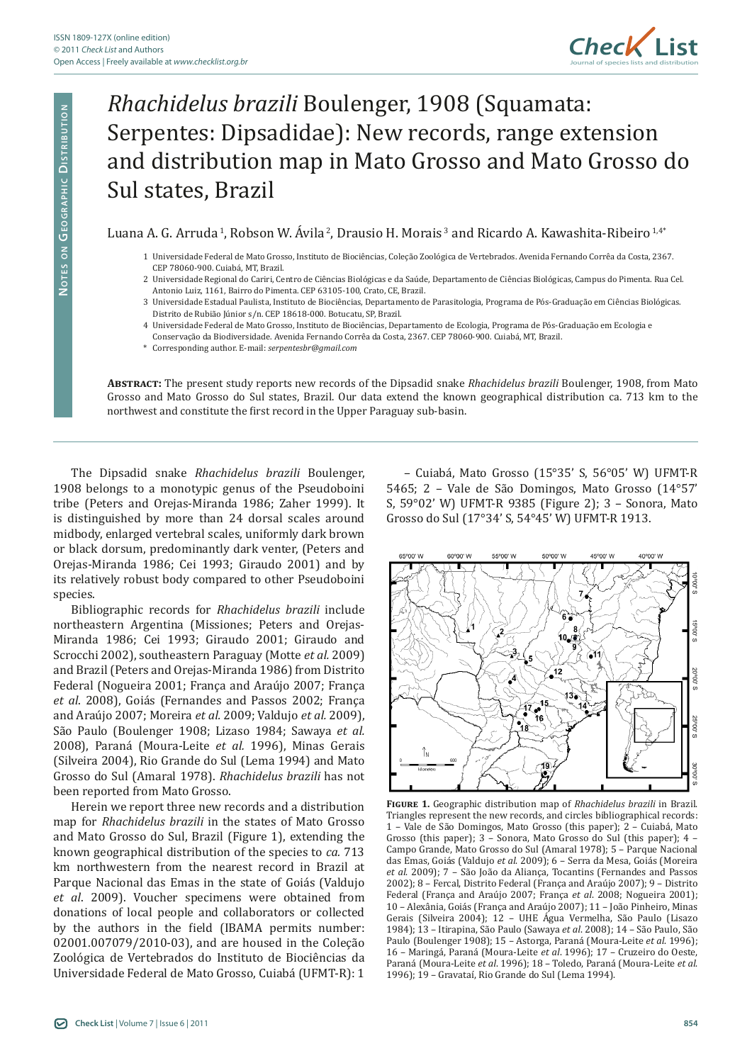

## *Rhachidelus brazili* Boulenger, 1908 (Squamata: Serpentes: Dipsadidae): New records, range extension and distribution map in Mato Grosso and Mato Grosso do Sul states, Brazil

Luana A. G. Arruda 1, Robson W. Ávila 2, Drausio H. Morais 3 and Ricardo A. Kawashita-Ribeiro 1,4\*

- 1 Universidade Federal de Mato Grosso, Instituto de Biociências, Coleção Zoológica de Vertebrados. Avenida Fernando Corrêa da Costa, 2367. CEP 78060-900. Cuiabá, MT, Brazil.
- 2 Universidade Regional do Cariri, Centro de Ciências Biológicas e da Saúde, Departamento de Ciências Biológicas, Campus do Pimenta. Rua Cel. Antonio Luiz, 1161, Bairro do Pimenta. CEP 63105-100, Crato, CE, Brazil.
- 3 Universidade Estadual Paulista, Instituto de Biociências, Departamento de Parasitologia, Programa de Pós-Graduação em Ciências Biológicas. Distrito de Rubião Júnior s/n. CEP 18618-000. Botucatu, SP, Brazil.
- 4 Universidade Federal de Mato Grosso, Instituto de Biociências, Departamento de Ecologia, Programa de Pós-Graduação em Ecologia e
- Conservação da Biodiversidade. Avenida Fernando Corrêa da Costa, 2367. CEP 78060-900. Cuiabá, MT, Brazil.
- \* Corresponding author. E-mail: *serpentesbr@gmail.com*

**Abstract:** The present study reports new records of the Dipsadid snake *Rhachidelus brazili* Boulenger, 1908, from Mato Grosso and Mato Grosso do Sul states, Brazil. Our data extend the known geographical distribution ca. 713 km to the northwest and constitute the first record in the Upper Paraguay sub-basin.

The Dipsadid snake *Rhachidelus brazili* Boulenger, 1908 belongs to a monotypic genus of the Pseudoboini tribe (Peters and Orejas-Miranda 1986; Zaher 1999). It is distinguished by more than 24 dorsal scales around midbody, enlarged vertebral scales, uniformly dark brown or black dorsum, predominantly dark venter, (Peters and Orejas-Miranda 1986; Cei 1993; Giraudo 2001) and by its relatively robust body compared to other Pseudoboini species.

Bibliographic records for *Rhachidelus brazili* include northeastern Argentina (Missiones; Peters and Orejas-Miranda 1986; Cei 1993; Giraudo 2001; Giraudo and Scrocchi 2002), southeastern Paraguay (Motte *et al.* 2009) and Brazil (Peters and Orejas-Miranda 1986) from Distrito Federal (Nogueira 2001; França and Araújo 2007; França *et al*. 2008), Goiás (Fernandes and Passos 2002; França and Araújo 2007; Moreira *et al.* 2009; Valdujo *et al.* 2009), São Paulo (Boulenger 1908; Lizaso 1984; Sawaya *et al.* 2008), Paraná (Moura-Leite *et al.* 1996), Minas Gerais (Silveira 2004), Rio Grande do Sul (Lema 1994) and Mato Grosso do Sul (Amaral 1978). *Rhachidelus brazili* has not been reported from Mato Grosso.

Herein we report three new records and a distribution map for *Rhachidelus brazili* in the states of Mato Grosso and Mato Grosso do Sul, Brazil (Figure 1), extending the known geographical distribution of the species to *ca.* 713 km northwestern from the nearest record in Brazil at Parque Nacional das Emas in the state of Goiás (Valdujo *et al*. 2009). Voucher specimens were obtained from donations of local people and collaborators or collected by the authors in the field (IBAMA permits number: 02001.007079/2010-03), and are housed in the Coleção Zoológica de Vertebrados do Instituto de Biociências da Universidade Federal de Mato Grosso, Cuiabá (UFMT-R): 1

– Cuiabá, Mato Grosso (15°35' S, 56°05' W) UFMT-R 5465; 2 – Vale de São Domingos, Mato Grosso (14°57' S, 59°02' W) UFMT-R 9385 (Figure 2); 3 – Sonora, Mato Grosso do Sul (17°34' S, 54°45' W) UFMT-R 1913.



**Figure 1.** Geographic distribution map of *Rhachidelus brazili* in Brazil. Triangles represent the new records, and circles bibliographical records: 1 – Vale de São Domingos, Mato Grosso (this paper); 2 – Cuiabá, Mato Grosso (this paper); 3 – Sonora, Mato Grosso do Sul (this paper); 4 – Campo Grande, Mato Grosso do Sul (Amaral 1978); 5 – Parque Nacional das Emas, Goiás (Valdujo *et al*. 2009); 6 – Serra da Mesa, Goiás (Moreira *et al*. 2009); 7 – São João da Aliança, Tocantins (Fernandes and Passos 2002); 8 – Fercal, Distrito Federal (França and Araújo 2007); 9 – Distrito Federal (França and Araújo 2007; França *et al*. 2008; Nogueira 2001); 10 – Alexânia, Goiás (França and Araújo 2007); 11 – João Pinheiro, Minas Gerais (Silveira 2004); 12 – UHE Água Vermelha, São Paulo (Lisazo 1984); 13 – Itirapina, São Paulo (Sawaya *et al*. 2008); 14 – São Paulo, São Paulo (Boulenger 1908); 15 – Astorga, Paraná (Moura-Leite *et al*. 1996); 16 – Maringá, Paraná (Moura-Leite *et al*. 1996); 17 – Cruzeiro do Oeste, Paraná (Moura-Leite *et al*. 1996); 18 – Toledo, Paraná (Moura-Leite *et al*. 1996); 19 – Gravataí, Rio Grande do Sul (Lema 1994).